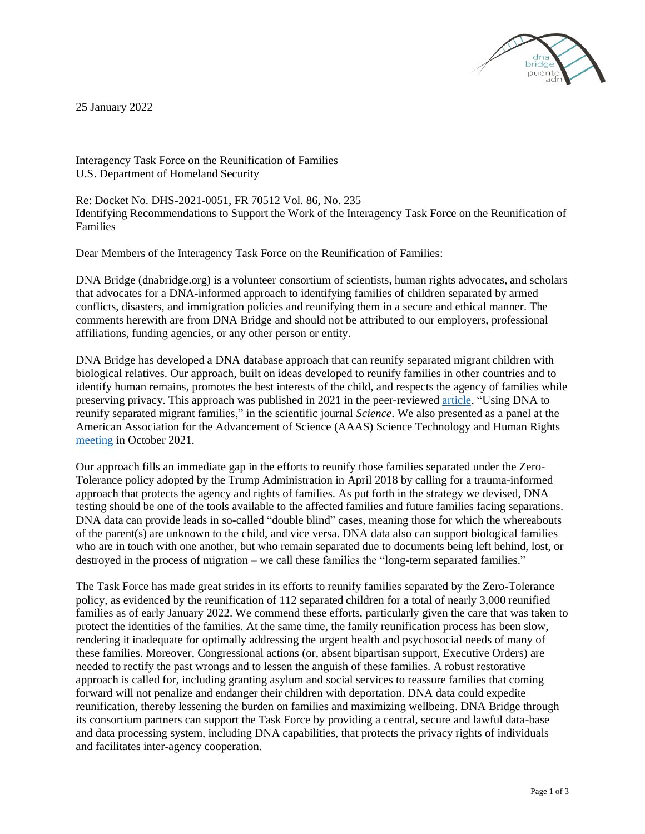

25 January 2022

Interagency Task Force on the Reunification of Families U.S. Department of Homeland Security

Re: Docket No. DHS-2021-0051, FR 70512 Vol. 86, No. 235 Identifying Recommendations to Support the Work of the Interagency Task Force on the Reunification of Families

Dear Members of the Interagency Task Force on the Reunification of Families:

DNA Bridge (dnabridge.org) is a volunteer consortium of scientists, human rights advocates, and scholars that advocates for a DNA-informed approach to identifying families of children separated by armed conflicts, disasters, and immigration policies and reunifying them in a secure and ethical manner. The comments herewith are from DNA Bridge and should not be attributed to our employers, professional affiliations, funding agencies, or any other person or entity.

DNA Bridge has developed a DNA database approach that can reunify separated migrant children with biological relatives. Our approach, built on ideas developed to reunify families in other countries and to identify human remains, promotes the best interests of the child, and respects the agency of families while preserving privacy. This approach was published in 2021 in the peer-reviewe[d article,](https://www.science.org/doi/abs/10.1126/science.abh3979) "Using DNA to reunify separated migrant families," in the scientific journal *Science*. We also presented as a panel at the American Association for the Advancement of Science (AAAS) Science Technology and Human Rights [meeting](https://www.aaas.org/news/scientists-say-dna-can-reunite-separated-migrant-families) in October 2021.

Our approach fills an immediate gap in the efforts to reunify those families separated under the Zero-Tolerance policy adopted by the Trump Administration in April 2018 by calling for a trauma-informed approach that protects the agency and rights of families. As put forth in the strategy we devised, DNA testing should be one of the tools available to the affected families and future families facing separations. DNA data can provide leads in so-called "double blind" cases, meaning those for which the whereabouts of the parent(s) are unknown to the child, and vice versa. DNA data also can support biological families who are in touch with one another, but who remain separated due to documents being left behind, lost, or destroyed in the process of migration – we call these families the "long-term separated families."

The Task Force has made great strides in its efforts to reunify families separated by the Zero-Tolerance policy, as evidenced by the reunification of 112 separated children for a total of nearly 3,000 reunified families as of early January 2022. We commend these efforts, particularly given the care that was taken to protect the identities of the families. At the same time, the family reunification process has been slow, rendering it inadequate for optimally addressing the urgent health and psychosocial needs of many of these families. Moreover, Congressional actions (or, absent bipartisan support, Executive Orders) are needed to rectify the past wrongs and to lessen the anguish of these families. A robust restorative approach is called for, including granting asylum and social services to reassure families that coming forward will not penalize and endanger their children with deportation. DNA data could expedite reunification, thereby lessening the burden on families and maximizing wellbeing. DNA Bridge through its consortium partners can support the Task Force by providing a central, secure and lawful data-base and data processing system, including DNA capabilities, that protects the privacy rights of individuals and facilitates inter-agency cooperation.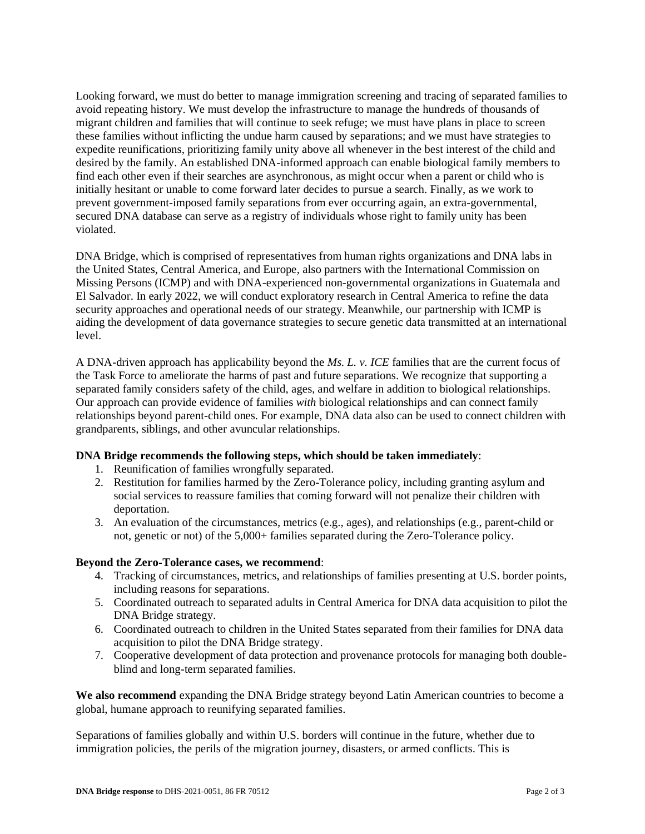Looking forward, we must do better to manage immigration screening and tracing of separated families to avoid repeating history. We must develop the infrastructure to manage the hundreds of thousands of migrant children and families that will continue to seek refuge; we must have plans in place to screen these families without inflicting the undue harm caused by separations; and we must have strategies to expedite reunifications, prioritizing family unity above all whenever in the best interest of the child and desired by the family. An established DNA-informed approach can enable biological family members to find each other even if their searches are asynchronous, as might occur when a parent or child who is initially hesitant or unable to come forward later decides to pursue a search. Finally, as we work to prevent government-imposed family separations from ever occurring again, an extra-governmental, secured DNA database can serve as a registry of individuals whose right to family unity has been violated.

DNA Bridge, which is comprised of representatives from human rights organizations and DNA labs in the United States, Central America, and Europe, also partners with the International Commission on Missing Persons (ICMP) and with DNA-experienced non-governmental organizations in Guatemala and El Salvador. In early 2022, we will conduct exploratory research in Central America to refine the data security approaches and operational needs of our strategy. Meanwhile, our partnership with ICMP is aiding the development of data governance strategies to secure genetic data transmitted at an international level.

A DNA-driven approach has applicability beyond the *Ms. L. v. ICE* families that are the current focus of the Task Force to ameliorate the harms of past and future separations. We recognize that supporting a separated family considers safety of the child, ages, and welfare in addition to biological relationships. Our approach can provide evidence of families *with* biological relationships and can connect family relationships beyond parent-child ones. For example, DNA data also can be used to connect children with grandparents, siblings, and other avuncular relationships.

# **DNA Bridge recommends the following steps, which should be taken immediately**:

- 1. Reunification of families wrongfully separated.
- 2. Restitution for families harmed by the Zero-Tolerance policy, including granting asylum and social services to reassure families that coming forward will not penalize their children with deportation.
- 3. An evaluation of the circumstances, metrics (e.g., ages), and relationships (e.g., parent-child or not, genetic or not) of the 5,000+ families separated during the Zero-Tolerance policy.

## **Beyond the Zero-Tolerance cases, we recommend**:

- 4. Tracking of circumstances, metrics, and relationships of families presenting at U.S. border points, including reasons for separations.
- 5. Coordinated outreach to separated adults in Central America for DNA data acquisition to pilot the DNA Bridge strategy.
- 6. Coordinated outreach to children in the United States separated from their families for DNA data acquisition to pilot the DNA Bridge strategy.
- 7. Cooperative development of data protection and provenance protocols for managing both doubleblind and long-term separated families.

**We also recommend** expanding the DNA Bridge strategy beyond Latin American countries to become a global, humane approach to reunifying separated families.

Separations of families globally and within U.S. borders will continue in the future, whether due to immigration policies, the perils of the migration journey, disasters, or armed conflicts. This is